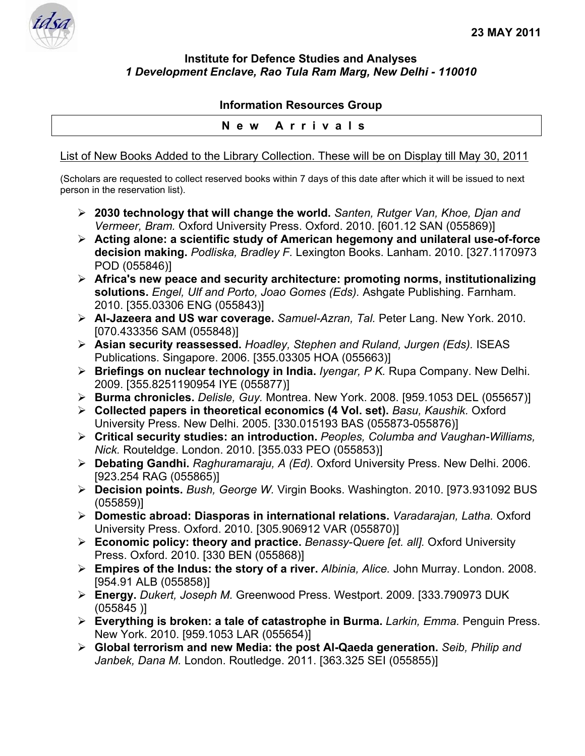

## **Institute for Defence Studies and Analyses**  *1 Development Enclave, Rao Tula Ram Marg, New Delhi - 110010*

## **Information Resources Group**

## **New Arrivals**

List of New Books Added to the Library Collection. These will be on Display till May 30, 2011

(Scholars are requested to collect reserved books within 7 days of this date after which it will be issued to next person in the reservation list).

- ¾ **2030 technology that will change the world.** *Santen, Rutger Van, Khoe, Djan and Vermeer, Bram.* Oxford University Press. Oxford. 2010. [601.12 SAN (055869)]
- ¾ **Acting alone: a scientific study of American hegemony and unilateral use-of-force decision making.** *Podliska, Bradley F.* Lexington Books. Lanham. 2010. [327.1170973 POD (055846)]
- ¾ **Africa's new peace and security architecture: promoting norms, institutionalizing solutions.** *Engel, Ulf and Porto, Joao Gomes (Eds).* Ashgate Publishing. Farnham. 2010. [355.03306 ENG (055843)]
- ¾ **Al-Jazeera and US war coverage.** *Samuel-Azran, Tal.* Peter Lang. New York. 2010. [070.433356 SAM (055848)]
- ¾ **Asian security reassessed.** *Hoadley, Stephen and Ruland, Jurgen (Eds).* ISEAS Publications. Singapore. 2006. [355.03305 HOA (055663)]
- ¾ **Briefings on nuclear technology in India.** *Iyengar, P K.* Rupa Company. New Delhi. 2009. [355.8251190954 IYE (055877)]
- ¾ **Burma chronicles.** *Delisle, Guy.* Montrea. New York. 2008. [959.1053 DEL (055657)]
- ¾ **Collected papers in theoretical economics (4 Vol. set).** *Basu, Kaushik.* Oxford University Press. New Delhi. 2005. [330.015193 BAS (055873-055876)]
- ¾ **Critical security studies: an introduction.** *Peoples, Columba and Vaughan-Williams, Nick.* Routeldge. London. 2010. [355.033 PEO (055853)]
- ¾ **Debating Gandhi.** *Raghuramaraju, A (Ed).* Oxford University Press. New Delhi. 2006. [923.254 RAG (055865)]
- ¾ **Decision points.** *Bush, George W.* Virgin Books. Washington. 2010. [973.931092 BUS (055859)]
- ¾ **Domestic abroad: Diasporas in international relations.** *Varadarajan, Latha.* Oxford University Press. Oxford. 2010. [305.906912 VAR (055870)]
- ¾ **Economic policy: theory and practice.** *Benassy-Quere [et. all].* Oxford University Press. Oxford. 2010. [330 BEN (055868)]
- ¾ **Empires of the Indus: the story of a river.** *Albinia, Alice.* John Murray. London. 2008. [954.91 ALB (055858)]
- ¾ **Energy.** *Dukert, Joseph M.* Greenwood Press. Westport. 2009. [333.790973 DUK (055845 )]
- ¾ **Everything is broken: a tale of catastrophe in Burma.** *Larkin, Emma.* Penguin Press. New York. 2010. [959.1053 LAR (055654)]
- ¾ **Global terrorism and new Media: the post Al-Qaeda generation.** *Seib, Philip and Janbek, Dana M.* London. Routledge. 2011. [363.325 SEI (055855)]